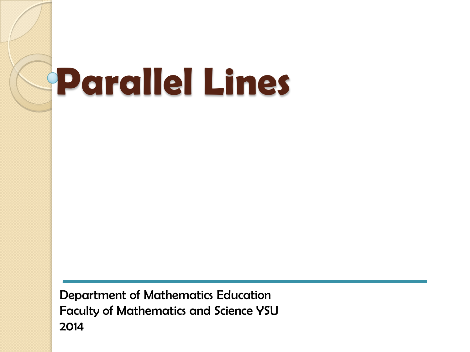# **Parallel Lines**

Department of Mathematics Education Faculty of Mathematics and Science YSU 2014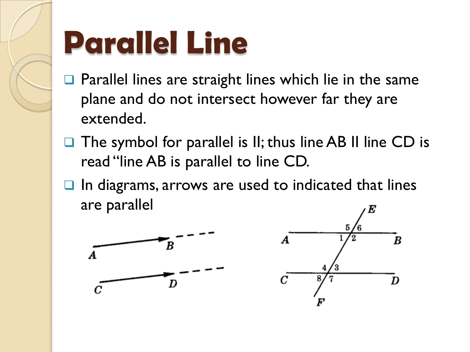

# **Parallel Line**

- $\Box$  Parallel lines are straight lines which lie in the same plane and do not intersect however far they are extended.
- The symbol for parallel is II; thus line AB II line CD is read "line AB is parallel to line CD.
- In diagrams, arrows are used to indicated that lines are parallel



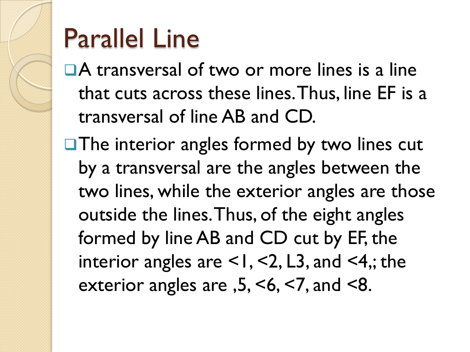#### Parallel Line

■A transversal of two or more lines is a line that cuts across these lines. Thus, line EF is a transversal of line AB and CD.

 $\Box$  The interior angles formed by two lines cut by a transversal are the angles between the two lines, while the exterior angles are those outside the lines. Thus, of the eight angles formed by line AB and CD cut by EF, the interior angles are  $\leq$ 1,  $\leq$ 2, L3, and  $\leq$ 4,; the exterior angles are ,5, <6, <7, and <8.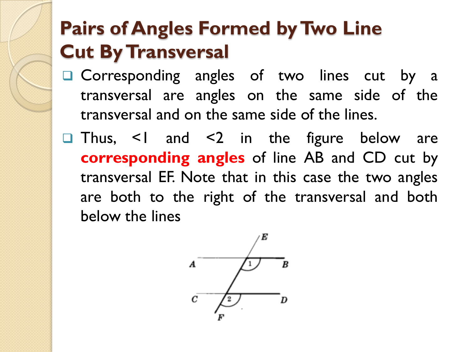#### **Pairs of Angles Formed by Two Line Cut By Transversal**

- Corresponding angles of two lines cut by a transversal are angles on the same side of the transversal and on the same side of the lines.
- **□** Thus, <1 and <2 in the figure below are **corresponding angles** of line AB and CD cut by transversal EF. Note that in this case the two angles are both to the right of the transversal and both below the lines

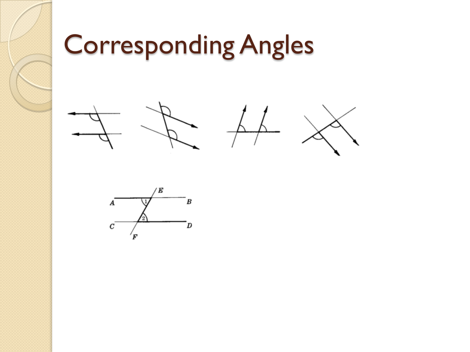# Corresponding Angles



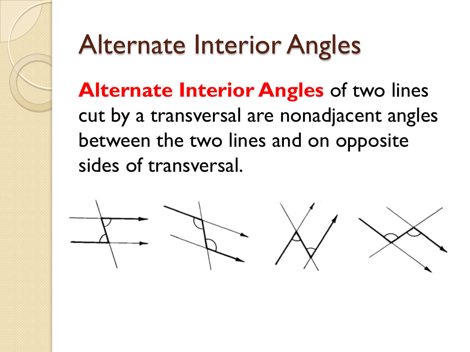#### Alternate Interior Angles

**Alternate Interior Angles** of two lines cut by a transversal are nonadjacent angles between the two lines and on opposite sides of transversal.

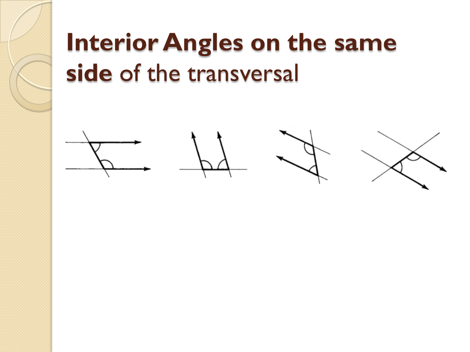#### **Interior Angles on the same side** of the transversal

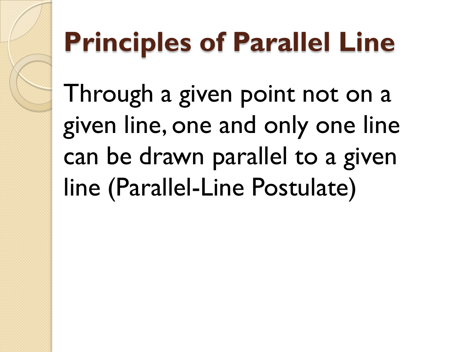## **Principles of Parallel Line**

Through a given point not on a given line, one and only one line can be drawn parallel to a given line (Parallel-Line Postulate)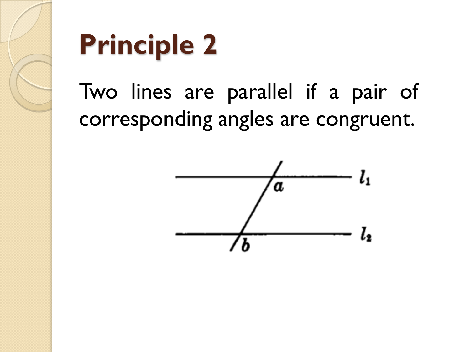

#### Two lines are parallel if a pair of corresponding angles are congruent.

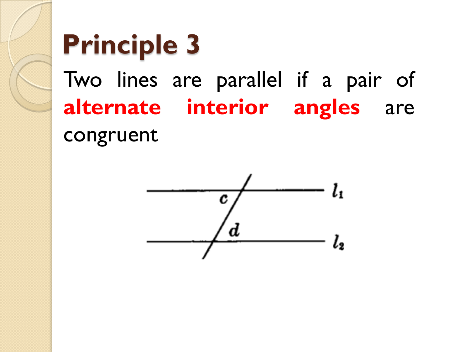#### **Principle 3** Two lines are parallel if a pair of **alternate interior angles** are congruent

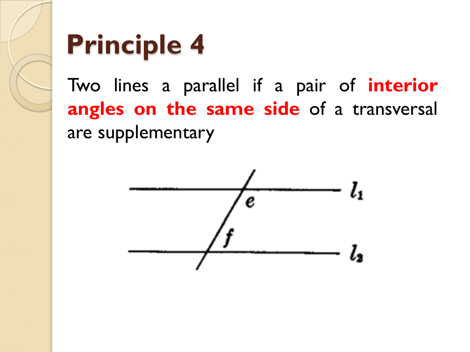

Two lines a parallel if a pair of **interior angles on the same side** of a transversal are supplementary

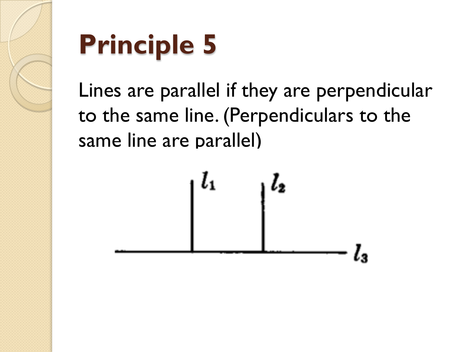

Lines are parallel if they are perpendicular to the same line. (Perpendiculars to the same line are parallel)

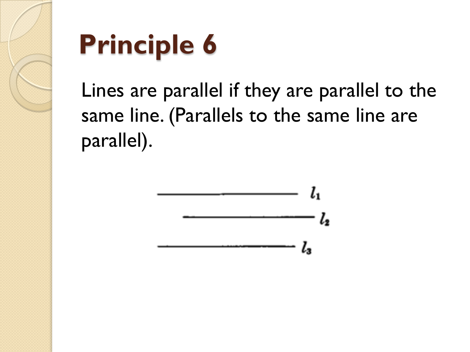

Lines are parallel if they are parallel to the same line. (Parallels to the same line are parallel).

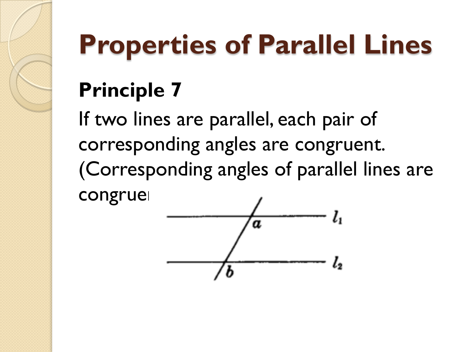# **Properties of Parallel Lines**

#### **Principle 7**

If two lines are parallel, each pair of corresponding angles are congruent. (Corresponding angles of parallel lines are congrue

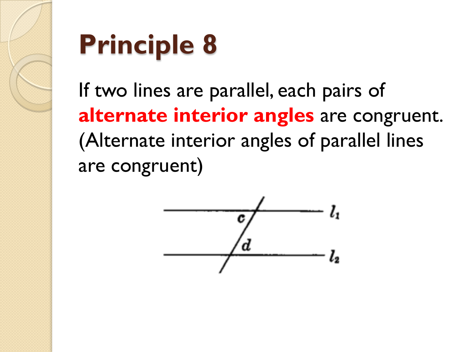

If two lines are parallel, each pairs of **alternate interior angles** are congruent. (Alternate interior angles of parallel lines are congruent)

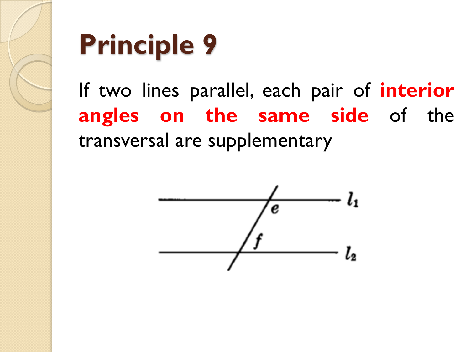

If two lines parallel, each pair of **interior angles on the same side** of the transversal are supplementary

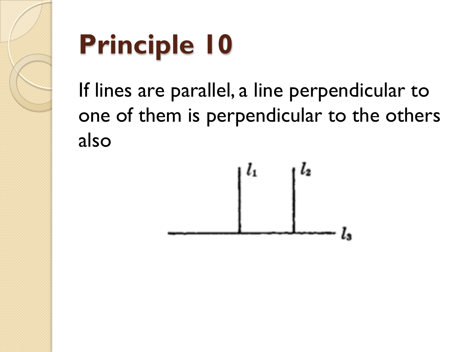

If lines are parallel, a line perpendicular to one of them is perpendicular to the others also

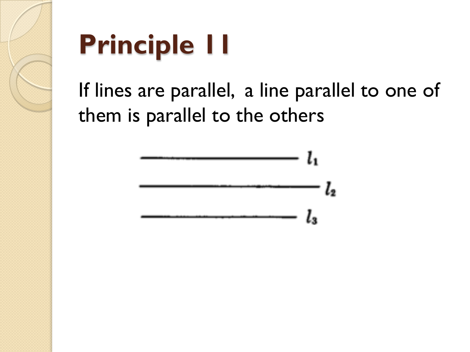

If lines are parallel, a line parallel to one of them is parallel to the others